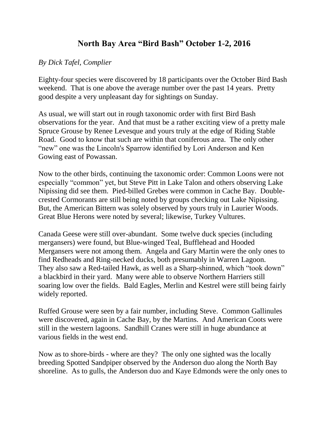## **North Bay Area "Bird Bash" October 1-2, 2016**

## *By Dick Tafel, Complier*

Eighty-four species were discovered by 18 participants over the October Bird Bash weekend. That is one above the average number over the past 14 years. Pretty good despite a very unpleasant day for sightings on Sunday.

As usual, we will start out in rough taxonomic order with first Bird Bash observations for the year. And that must be a rather exciting view of a pretty male Spruce Grouse by Renee Levesque and yours truly at the edge of Riding Stable Road. Good to know that such are within that coniferous area. The only other "new" one was the Lincoln's Sparrow identified by Lori Anderson and Ken Gowing east of Powassan.

Now to the other birds, continuing the taxonomic order: Common Loons were not especially "common" yet, but Steve Pitt in Lake Talon and others observing Lake Nipissing did see them. Pied-billed Grebes were common in Cache Bay. Doublecrested Cormorants are still being noted by groups checking out Lake Nipissing. But, the American Bittern was solely observed by yours truly in Laurier Woods. Great Blue Herons were noted by several; likewise, Turkey Vultures.

Canada Geese were still over-abundant. Some twelve duck species (including mergansers) were found, but Blue-winged Teal, Bufflehead and Hooded Mergansers were not among them. Angela and Gary Martin were the only ones to find Redheads and Ring-necked ducks, both presumably in Warren Lagoon. They also saw a Red-tailed Hawk, as well as a Sharp-shinned, which "took down" a blackbird in their yard. Many were able to observe Northern Harriers still soaring low over the fields. Bald Eagles, Merlin and Kestrel were still being fairly widely reported.

Ruffed Grouse were seen by a fair number, including Steve. Common Gallinules were discovered, again in Cache Bay, by the Martins. And American Coots were still in the western lagoons. Sandhill Cranes were still in huge abundance at various fields in the west end.

Now as to shore-birds - where are they? The only one sighted was the locally breeding Spotted Sandpiper observed by the Anderson duo along the North Bay shoreline. As to gulls, the Anderson duo and Kaye Edmonds were the only ones to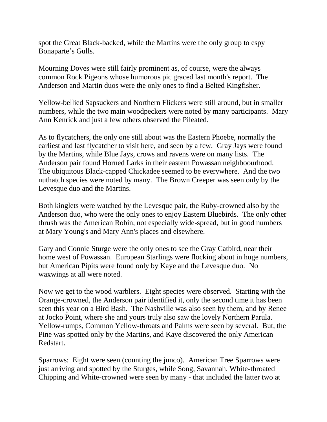spot the Great Black-backed, while the Martins were the only group to espy Bonaparte's Gulls.

Mourning Doves were still fairly prominent as, of course, were the always common Rock Pigeons whose humorous pic graced last month's report. The Anderson and Martin duos were the only ones to find a Belted Kingfisher.

Yellow-bellied Sapsuckers and Northern Flickers were still around, but in smaller numbers, while the two main woodpeckers were noted by many participants. Mary Ann Kenrick and just a few others observed the Pileated.

As to flycatchers, the only one still about was the Eastern Phoebe, normally the earliest and last flycatcher to visit here, and seen by a few. Gray Jays were found by the Martins, while Blue Jays, crows and ravens were on many lists. The Anderson pair found Horned Larks in their eastern Powassan neighboourhood. The ubiquitous Black-capped Chickadee seemed to be everywhere. And the two nuthatch species were noted by many. The Brown Creeper was seen only by the Levesque duo and the Martins.

Both kinglets were watched by the Levesque pair, the Ruby-crowned also by the Anderson duo, who were the only ones to enjoy Eastern Bluebirds. The only other thrush was the American Robin, not especially wide-spread, but in good numbers at Mary Young's and Mary Ann's places and elsewhere.

Gary and Connie Sturge were the only ones to see the Gray Catbird, near their home west of Powassan. European Starlings were flocking about in huge numbers, but American Pipits were found only by Kaye and the Levesque duo. No waxwings at all were noted.

Now we get to the wood warblers. Eight species were observed. Starting with the Orange-crowned, the Anderson pair identified it, only the second time it has been seen this year on a Bird Bash. The Nashville was also seen by them, and by Renee at Jocko Point, where she and yours truly also saw the lovely Northern Parula. Yellow-rumps, Common Yellow-throats and Palms were seen by several. But, the Pine was spotted only by the Martins, and Kaye discovered the only American Redstart.

Sparrows: Eight were seen (counting the junco). American Tree Sparrows were just arriving and spotted by the Sturges, while Song, Savannah, White-throated Chipping and White-crowned were seen by many - that included the latter two at